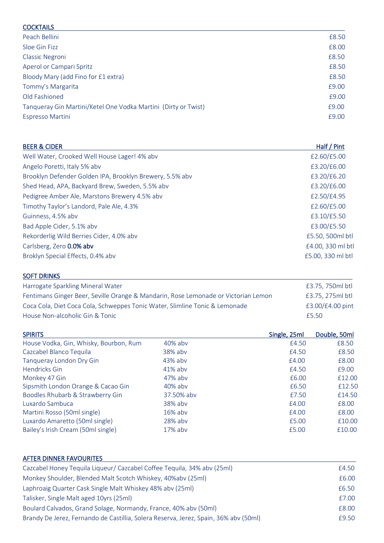| £8.50<br>£8.00<br>£8.50<br>£8.50<br>£8.50<br>£9.00<br>£9.00<br>£9.00<br>£9.00 | <b>COCKTAILS</b>                                               |  |
|-------------------------------------------------------------------------------|----------------------------------------------------------------|--|
|                                                                               | Peach Bellini                                                  |  |
|                                                                               | Sloe Gin Fizz                                                  |  |
|                                                                               | Classic Negroni                                                |  |
|                                                                               | Aperol or Campari Spritz                                       |  |
|                                                                               | Bloody Mary (add Fino for £1 extra)                            |  |
|                                                                               | Tommy's Margarita                                              |  |
|                                                                               | Old Fashioned                                                  |  |
|                                                                               | Tangueray Gin Martini/Ketel One Vodka Martini (Dirty or Twist) |  |
|                                                                               | Espresso Martini                                               |  |

| <b>BEER &amp; CIDER</b> |  |
|-------------------------|--|
|-------------------------|--|

| <b>BEER &amp; CIDER</b>                                  | Half / Pint       |
|----------------------------------------------------------|-------------------|
| Well Water, Crooked Well House Lager! 4% abv             | £2.60/£5.00       |
| Angelo Poretti, Italy 5% abv                             | £3.20/£6.00       |
| Brooklyn Defender Golden IPA, Brooklyn Brewery, 5.5% abv | £3.20/£6.20       |
| Shed Head, APA, Backyard Brew, Sweden, 5.5% abv          | £3.20/£6.00       |
| Pedigree Amber Ale, Marstons Brewery 4.5% abv            | £2.50/£4.95       |
| Timothy Taylor's Landord, Pale Ale, 4.3%                 | £2.60/£5.00       |
| Guinness, 4.5% abv                                       | £3.10/£5.50       |
| Bad Apple Cider, 5.1% abv                                | £3.00/£5.50       |
| Rekorderlig Wild Berries Cider, 4.0% abv                 | £5.50, 500ml btl  |
| Carlsberg, Zero 0.0% abv                                 | £4.00, 330 ml btl |
| Broklyn Special Effects, 0.4% abv                        | £5.00, 330 ml btl |
|                                                          |                   |

| <b>SOFT DRINKS</b>                                                                 |                  |
|------------------------------------------------------------------------------------|------------------|
| Harrogate Sparkling Mineral Water                                                  | £3.75, 750ml btl |
| Fentimans Ginger Beer, Seville Orange & Mandarin, Rose Lemonade or Victorian Lemon | £3.75, 275ml btl |
| Coca Cola, Diet Coca Cola, Schweppes Tonic Water, Slimline Tonic & Lemonade        | £3.00/£4.00 pint |
| House Non-alcoholic Gin & Tonic                                                    | £5.50            |

| <b>SPIRITS</b>                         |            | Single, 25ml | Double, 50ml |
|----------------------------------------|------------|--------------|--------------|
| House Vodka, Gin, Whisky, Bourbon, Rum | 40% abv    | £4.50        | £8.50        |
| Cazcabel Blanco Tequila                | 38% abv    | £4.50        | £8.50        |
| Tangueray London Dry Gin               | 43% abv    | £4.00        | £8.00        |
| Hendricks Gin                          | $41\%$ abv | £4.50        | £9.00        |
| Monkey 47 Gin                          | 47% aby    | £6.00        | £12.00       |
| Sipsmith London Orange & Cacao Gin     | 40% aby    | £6.50        | £12.50       |
| Boodles Rhubarb & Strawberry Gin       | 37.50% abv | £7.50        | £14.50       |
| Luxardo Sambuca                        | 38% aby    | £4.00        | £8.00        |
| Martini Rosso (50ml single)            | $16\%$ aby | £4.00        | £8.00        |
| Luxardo Amaretto (50ml single)         | 28% abv    | £5.00        | £10.00       |
| Bailey's Irish Cream (50ml single)     | 17% abv    | £5.00        | £10.00       |

| AFTER DINNER FAVOURITES                                                              |       |
|--------------------------------------------------------------------------------------|-------|
| Cazcabel Honey Tequila Liqueur/ Cazcabel Coffee Tequila, 34% aby (25ml)              | £4.50 |
| Monkey Shoulder, Blended Malt Scotch Whiskey, 40%aby (25ml)                          | £6.00 |
| Laphroaig Quarter Cask Single Malt Whiskey 48% aby (25ml)                            | £6.50 |
| Talisker, Single Malt aged 10yrs (25ml)                                              | £7.00 |
| Boulard Calvados, Grand Solage, Normandy, France, 40% abv (50ml)                     | £8.00 |
| Brandy De Jerez, Fernando de Castillia, Solera Reserva, Jerez, Spain, 36% abv (50ml) | £9.50 |